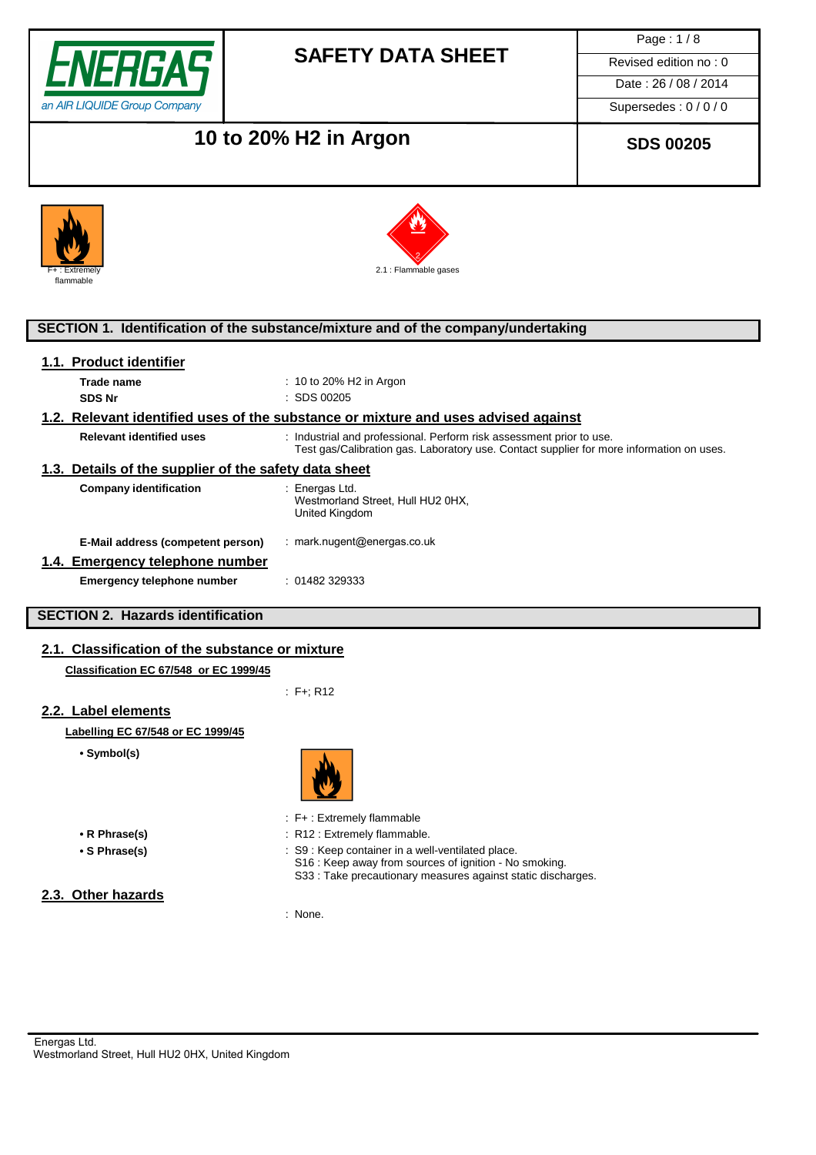

Page : 1 / 8

Date : 26 / 08 / 2014

Supersedes : 0 / 0 / 0

# 10 to 20% H2 in Argon **SDS 00205**







### **SECTION 1. Identification of the substance/mixture and of the company/undertaking**

### **1.1. Product identifier**

**Trade name** : 10 to 20% H2 in Argon **SDS Nr** : SDS 00205

### **1.2. Relevant identified uses of the substance or mixture and uses advised against**

| <b>Relevant identified uses</b>                                      | : Industrial and professional. Perform risk assessment prior to use.<br>Test gas/Calibration gas. Laboratory use. Contact supplier for more information on uses. |  |  |
|----------------------------------------------------------------------|------------------------------------------------------------------------------------------------------------------------------------------------------------------|--|--|
| 1.3. Details of the supplier of the safety data sheet                |                                                                                                                                                                  |  |  |
| <b>Company identification</b>                                        | : Energas Ltd.<br>Westmorland Street, Hull HU2 0HX,<br>United Kingdom                                                                                            |  |  |
| E-Mail address (competent person)<br>1.4. Emergency telephone number | $:$ mark.nugent@energas.co.uk                                                                                                                                    |  |  |
| Emergency telephone number                                           | : 01482329333                                                                                                                                                    |  |  |

## **SECTION 2. Hazards identification**

## **2.1. Classification of the substance or mixture**

## **Classification EC 67/548 or EC 1999/45**

: F+; R12

### **2.2. Label elements**

## **Labelling EC 67/548 or EC 1999/45**

**• Symbol(s)**



: F+ : Extremely flammable

- **R Phrase(s)** : R12 : Extremely flammable.
- **S Phrase(s)** : S9 : Keep container in a well-ventilated place.
	- S16 : Keep away from sources of ignition No smoking. S33 : Take precautionary measures against static discharges.

# **2.3. Other hazards**

: None.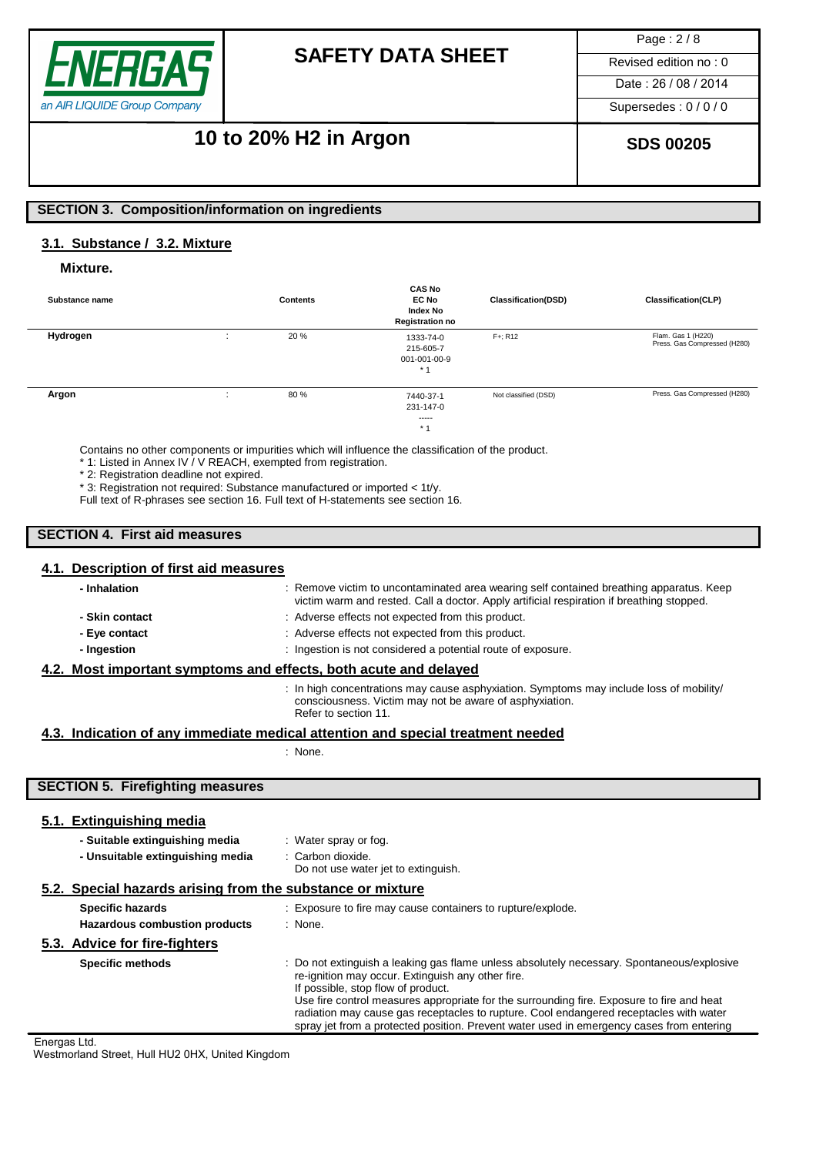

Page : 2 / 8

Date : 26 / 08 / 2014

Supersedes : 0 / 0 / 0

# 10 to 20% H2 in Argon **SDS 00205**

## **SECTION 3. Composition/information on ingredients**

### **3.1. Substance / 3.2. Mixture**

### **Mixture.**

| Substance name |                | <b>Contents</b> | <b>CAS No</b><br><b>EC No</b><br>Index No<br><b>Registration no</b> | <b>Classification(DSD)</b> | <b>Classification(CLP)</b>                         |
|----------------|----------------|-----------------|---------------------------------------------------------------------|----------------------------|----------------------------------------------------|
| Hydrogen       |                | 20 %            | 1333-74-0<br>215-605-7<br>001-001-00-9<br>$*1$                      | F+: R12                    | Flam. Gas 1 (H220)<br>Press. Gas Compressed (H280) |
| Argon          | $\overline{a}$ | 80%             | 7440-37-1<br>231-147-0<br>$- - - - -$<br>$*1$                       | Not classified (DSD)       | Press. Gas Compressed (H280)                       |

Contains no other components or impurities which will influence the classification of the product.

\* 1: Listed in Annex IV / V REACH, exempted from registration.

\* 2: Registration deadline not expired.

\* 3: Registration not required: Substance manufactured or imported < 1t/y.

Full text of R-phrases see section 16. Full text of H-statements see section 16.

## **SECTION 4. First aid measures**

### **4.1. Description of first aid measures**

| - Inhalation                                                     | : Remove victim to uncontaminated area wearing self contained breathing apparatus. Keep<br>victim warm and rested. Call a doctor. Apply artificial respiration if breathing stopped. |  |
|------------------------------------------------------------------|--------------------------------------------------------------------------------------------------------------------------------------------------------------------------------------|--|
| - Skin contact                                                   | : Adverse effects not expected from this product.                                                                                                                                    |  |
| - Eye contact                                                    | : Adverse effects not expected from this product.                                                                                                                                    |  |
| - Ingestion                                                      | : Ingestion is not considered a potential route of exposure.                                                                                                                         |  |
| 4.2. Most important symptoms and effects, both acute and delayed |                                                                                                                                                                                      |  |
|                                                                  | : In high concentrations may cause asphyxiation. Symptoms may include loss of mobility/<br>consciousness. Victim may not be aware of asphyxiation.                                   |  |

### Refer to section 11.

### **4.3. Indication of any immediate medical attention and special treatment needed**

: None.

# **SECTION 5. Firefighting measures**

| 5.1. Extinguishing media                                                                         |                                                                                                                                                                                                                                                                                                                                                                                                                                                                          |  |  |  |
|--------------------------------------------------------------------------------------------------|--------------------------------------------------------------------------------------------------------------------------------------------------------------------------------------------------------------------------------------------------------------------------------------------------------------------------------------------------------------------------------------------------------------------------------------------------------------------------|--|--|--|
| - Suitable extinguishing media<br>- Unsuitable extinguishing media                               | : Water spray or fog.<br>: Carbon dioxide.<br>Do not use water jet to extinguish.                                                                                                                                                                                                                                                                                                                                                                                        |  |  |  |
|                                                                                                  | 5.2. Special hazards arising from the substance or mixture                                                                                                                                                                                                                                                                                                                                                                                                               |  |  |  |
| <b>Specific hazards</b><br><b>Hazardous combustion products</b><br>5.3. Advice for fire-fighters | : Exposure to fire may cause containers to rupture/explode.<br>: None.                                                                                                                                                                                                                                                                                                                                                                                                   |  |  |  |
| <b>Specific methods</b>                                                                          | : Do not extinguish a leaking gas flame unless absolutely necessary. Spontaneous/explosive<br>re-ignition may occur. Extinguish any other fire.<br>If possible, stop flow of product.<br>Use fire control measures appropriate for the surrounding fire. Exposure to fire and heat<br>radiation may cause gas receptacles to rupture. Cool endangered receptacles with water<br>spray jet from a protected position. Prevent water used in emergency cases from entering |  |  |  |

Energas Ltd. Westmorland Street, Hull HU2 0HX, United Kingdom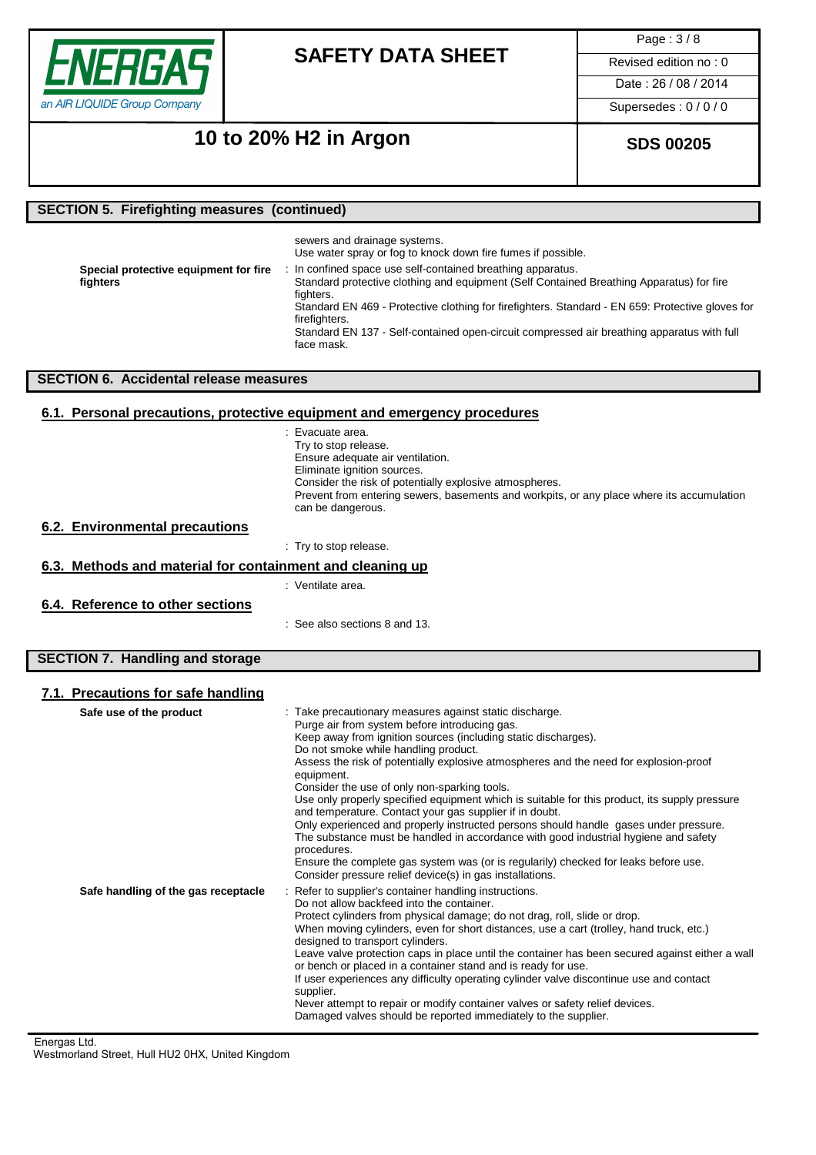

Page : 3 / 8

Date : 26 / 08 / 2014

Supersedes : 0 / 0 / 0

# 10 to 20% H2 in Argon **SDS 00205**

## **SECTION 5. Firefighting measures (continued)**

|                                       | sewers and drainage systems.<br>Use water spray or fog to knock down fire fumes if possible.                      |
|---------------------------------------|-------------------------------------------------------------------------------------------------------------------|
| Special protective equipment for fire | : In confined space use self-contained breathing apparatus.                                                       |
| fighters                              | Standard protective clothing and equipment (Self Contained Breathing Apparatus) for fire<br>fighters.             |
|                                       | Standard EN 469 - Protective clothing for firefighters. Standard - EN 659: Protective gloves for<br>firefighters. |
|                                       | Standard EN 137 - Self-contained open-circuit compressed air breathing apparatus with full<br>face mask.          |

## **SECTION 6. Accidental release measures**

## **6.1. Personal precautions, protective equipment and emergency procedures**

|                                                           | : Evacuate area.                                                                          |
|-----------------------------------------------------------|-------------------------------------------------------------------------------------------|
|                                                           | Try to stop release.                                                                      |
|                                                           | Ensure adequate air ventilation.                                                          |
|                                                           | Eliminate ignition sources.                                                               |
|                                                           | Consider the risk of potentially explosive atmospheres.                                   |
|                                                           | Prevent from entering sewers, basements and workpits, or any place where its accumulation |
|                                                           | can be dangerous.                                                                         |
| 6.2. Environmental precautions                            |                                                                                           |
|                                                           | : Try to stop release.                                                                    |
| 6.3. Methods and material for containment and cleaning up |                                                                                           |
|                                                           | : Ventilate area.                                                                         |
| 6.4. Reference to other sections                          |                                                                                           |
|                                                           | $\therefore$ See also sections 8 and 13.                                                  |
|                                                           |                                                                                           |

## **SECTION 7. Handling and storage**

## **7.1. Precautions for safe handling**

| Safe use of the product             | : Take precautionary measures against static discharge.<br>Purge air from system before introducing gas.<br>Keep away from ignition sources (including static discharges).<br>Do not smoke while handling product.<br>Assess the risk of potentially explosive atmospheres and the need for explosion-proof<br>equipment.<br>Consider the use of only non-sparking tools.<br>Use only properly specified equipment which is suitable for this product, its supply pressure<br>and temperature. Contact your gas supplier if in doubt.<br>Only experienced and properly instructed persons should handle gases under pressure.<br>The substance must be handled in accordance with good industrial hygiene and safety<br>procedures.<br>Ensure the complete gas system was (or is regularily) checked for leaks before use.<br>Consider pressure relief device(s) in gas installations. |
|-------------------------------------|----------------------------------------------------------------------------------------------------------------------------------------------------------------------------------------------------------------------------------------------------------------------------------------------------------------------------------------------------------------------------------------------------------------------------------------------------------------------------------------------------------------------------------------------------------------------------------------------------------------------------------------------------------------------------------------------------------------------------------------------------------------------------------------------------------------------------------------------------------------------------------------|
| Safe handling of the gas receptacle | : Refer to supplier's container handling instructions.<br>Do not allow backfeed into the container.<br>Protect cylinders from physical damage; do not drag, roll, slide or drop.<br>When moving cylinders, even for short distances, use a cart (trolley, hand truck, etc.)<br>designed to transport cylinders.<br>Leave valve protection caps in place until the container has been secured against either a wall<br>or bench or placed in a container stand and is ready for use.<br>If user experiences any difficulty operating cylinder valve discontinue use and contact<br>supplier.<br>Never attempt to repair or modify container valves or safety relief devices.<br>Damaged valves should be reported immediately to the supplier.                                                                                                                                          |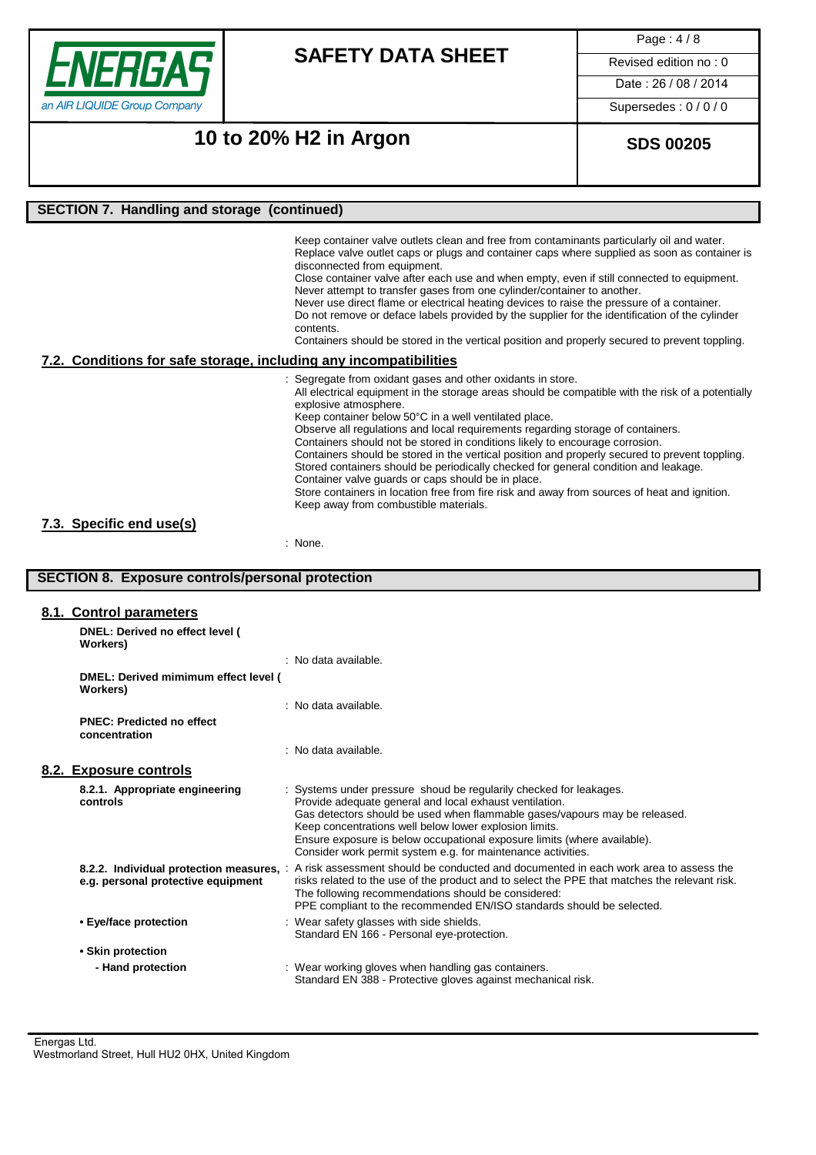

Page : 4 / 8

Date : 26 / 08 / 2014

Supersedes : 0 / 0 / 0

# 10 to 20% H2 in Argon **National SL SDS 00205**

### **SECTION 7. Handling and storage (continued)**

Keep container valve outlets clean and free from contaminants particularly oil and water. Replace valve outlet caps or plugs and container caps where supplied as soon as container is disconnected from equipment.

Close container valve after each use and when empty, even if still connected to equipment. Never attempt to transfer gases from one cylinder/container to another.

Never use direct flame or electrical heating devices to raise the pressure of a container. Do not remove or deface labels provided by the supplier for the identification of the cylinder contents.

Containers should be stored in the vertical position and properly secured to prevent toppling.

### **7.2. Conditions for safe storage, including any incompatibilities**

: Segregate from oxidant gases and other oxidants in store. All electrical equipment in the storage areas should be compatible with the risk of a potentially explosive atmosphere. Keep container below 50°C in a well ventilated place. Observe all regulations and local requirements regarding storage of containers. Containers should not be stored in conditions likely to encourage corrosion. Containers should be stored in the vertical position and properly secured to prevent toppling. Stored containers should be periodically checked for general condition and leakage. Container valve guards or caps should be in place. Store containers in location free from fire risk and away from sources of heat and ignition. Keep away from combustible materials.

### **7.3. Specific end use(s)**

: None.

### **SECTION 8. Exposure controls/personal protection**

| 8.1. Control parameters                                                        |                                                                                                                                                                                                                                                                                                                                                                                                                   |
|--------------------------------------------------------------------------------|-------------------------------------------------------------------------------------------------------------------------------------------------------------------------------------------------------------------------------------------------------------------------------------------------------------------------------------------------------------------------------------------------------------------|
| DNEL: Derived no effect level (<br>Workers)                                    |                                                                                                                                                                                                                                                                                                                                                                                                                   |
|                                                                                | : No data available.                                                                                                                                                                                                                                                                                                                                                                                              |
| DMEL: Derived mimimum effect level (<br>Workers)                               |                                                                                                                                                                                                                                                                                                                                                                                                                   |
|                                                                                | : No data available.                                                                                                                                                                                                                                                                                                                                                                                              |
| <b>PNEC: Predicted no effect</b><br>concentration                              |                                                                                                                                                                                                                                                                                                                                                                                                                   |
|                                                                                | : No data available.                                                                                                                                                                                                                                                                                                                                                                                              |
| 8.2. Exposure controls                                                         |                                                                                                                                                                                                                                                                                                                                                                                                                   |
| 8.2.1. Appropriate engineering<br>controls                                     | : Systems under pressure shoud be regularily checked for leakages.<br>Provide adequate general and local exhaust ventilation.<br>Gas detectors should be used when flammable gases/vapours may be released.<br>Keep concentrations well below lower explosion limits.<br>Ensure exposure is below occupational exposure limits (where available).<br>Consider work permit system e.g. for maintenance activities. |
| 8.2.2. Individual protection measures, :<br>e.g. personal protective equipment | A risk assessment should be conducted and documented in each work area to assess the<br>risks related to the use of the product and to select the PPE that matches the relevant risk.<br>The following recommendations should be considered:<br>PPE compliant to the recommended EN/ISO standards should be selected.                                                                                             |
| • Eye/face protection                                                          | : Wear safety glasses with side shields.<br>Standard EN 166 - Personal eye-protection.                                                                                                                                                                                                                                                                                                                            |
| • Skin protection                                                              |                                                                                                                                                                                                                                                                                                                                                                                                                   |
| - Hand protection                                                              | : Wear working gloves when handling gas containers.<br>Standard EN 388 - Protective gloves against mechanical risk.                                                                                                                                                                                                                                                                                               |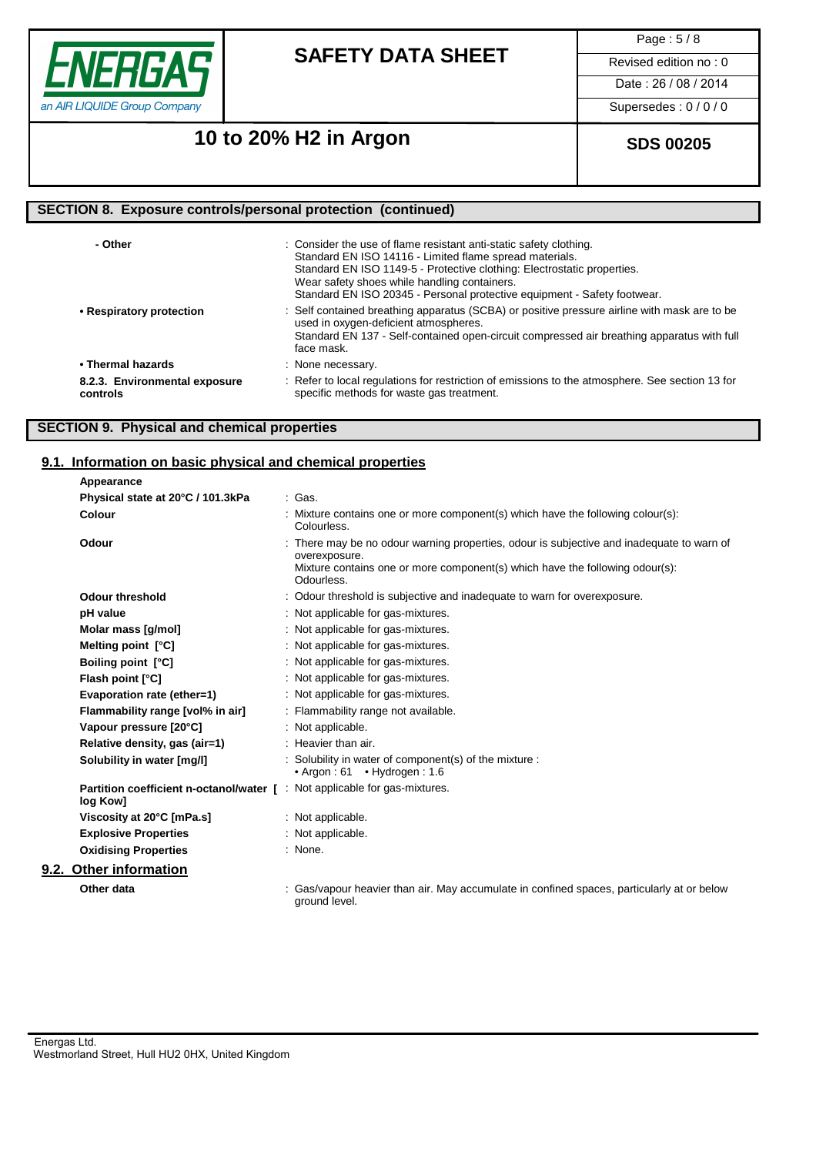

Page : 5 / 8

Date: 26 / 08 / 2014

Supersedes : 0 / 0 / 0

# 10 to 20% H2 in Argon **SDS 00205**

## **SECTION 8. Exposure controls/personal protection (continued)**

| - Other                                   | : Consider the use of flame resistant anti-static safety clothing.<br>Standard EN ISO 14116 - Limited flame spread materials.<br>Standard EN ISO 1149-5 - Protective clothing: Electrostatic properties.<br>Wear safety shoes while handling containers.<br>Standard EN ISO 20345 - Personal protective equipment - Safety footwear. |
|-------------------------------------------|--------------------------------------------------------------------------------------------------------------------------------------------------------------------------------------------------------------------------------------------------------------------------------------------------------------------------------------|
| • Respiratory protection                  | : Self contained breathing apparatus (SCBA) or positive pressure airline with mask are to be<br>used in oxygen-deficient atmospheres.<br>Standard EN 137 - Self-contained open-circuit compressed air breathing apparatus with full<br>face mask.                                                                                    |
| • Thermal hazards                         | : None necessary.                                                                                                                                                                                                                                                                                                                    |
| 8.2.3. Environmental exposure<br>controls | : Refer to local regulations for restriction of emissions to the atmosphere. See section 13 for<br>specific methods for waste gas treatment.                                                                                                                                                                                         |

# **SECTION 9. Physical and chemical properties**

## **9.1. Information on basic physical and chemical properties**

| Appearance                                                                                    |                                                                                                                                                                                                          |
|-----------------------------------------------------------------------------------------------|----------------------------------------------------------------------------------------------------------------------------------------------------------------------------------------------------------|
| Physical state at 20°C / 101.3kPa                                                             | : Gas.                                                                                                                                                                                                   |
| Colour                                                                                        | : Mixture contains one or more component(s) which have the following colour(s):<br>Colourless.                                                                                                           |
| Odour                                                                                         | : There may be no odour warning properties, odour is subjective and inadequate to warn of<br>overexposure.<br>Mixture contains one or more component(s) which have the following odour(s):<br>Odourless. |
| <b>Odour threshold</b>                                                                        | : Odour threshold is subjective and inadequate to warn for overexposure.                                                                                                                                 |
| pH value                                                                                      | : Not applicable for gas-mixtures.                                                                                                                                                                       |
| Molar mass [g/mol]                                                                            | : Not applicable for gas-mixtures.                                                                                                                                                                       |
| Melting point [°C]                                                                            | : Not applicable for gas-mixtures.                                                                                                                                                                       |
| <b>Boiling point [°C]</b>                                                                     | : Not applicable for gas-mixtures.                                                                                                                                                                       |
| Flash point [°C]                                                                              | : Not applicable for gas-mixtures.                                                                                                                                                                       |
| Evaporation rate (ether=1)                                                                    | : Not applicable for gas-mixtures.                                                                                                                                                                       |
| Flammability range [vol% in air]                                                              | : Flammability range not available.                                                                                                                                                                      |
| Vapour pressure [20°C]                                                                        | : Not applicable.                                                                                                                                                                                        |
| Relative density, gas (air=1)                                                                 | : Heavier than air.                                                                                                                                                                                      |
| Solubility in water [mg/l]                                                                    | : Solubility in water of component(s) of the mixture :<br>$\bullet$ Argon: 61 $\bullet$ Hydrogen: 1.6                                                                                                    |
| <b>Partition coefficient n-octanol/water [ : Not applicable for gas-mixtures.</b><br>log Kow] |                                                                                                                                                                                                          |
| Viscosity at 20°C [mPa.s]                                                                     | : Not applicable.                                                                                                                                                                                        |
| <b>Explosive Properties</b>                                                                   | : Not applicable.                                                                                                                                                                                        |
| <b>Oxidising Properties</b>                                                                   | : None.                                                                                                                                                                                                  |
| 9.2. Other information                                                                        |                                                                                                                                                                                                          |
| Other data                                                                                    | Gas/vapour heavier than air. May accumulate in confined spaces, particularly at or below<br>around level.                                                                                                |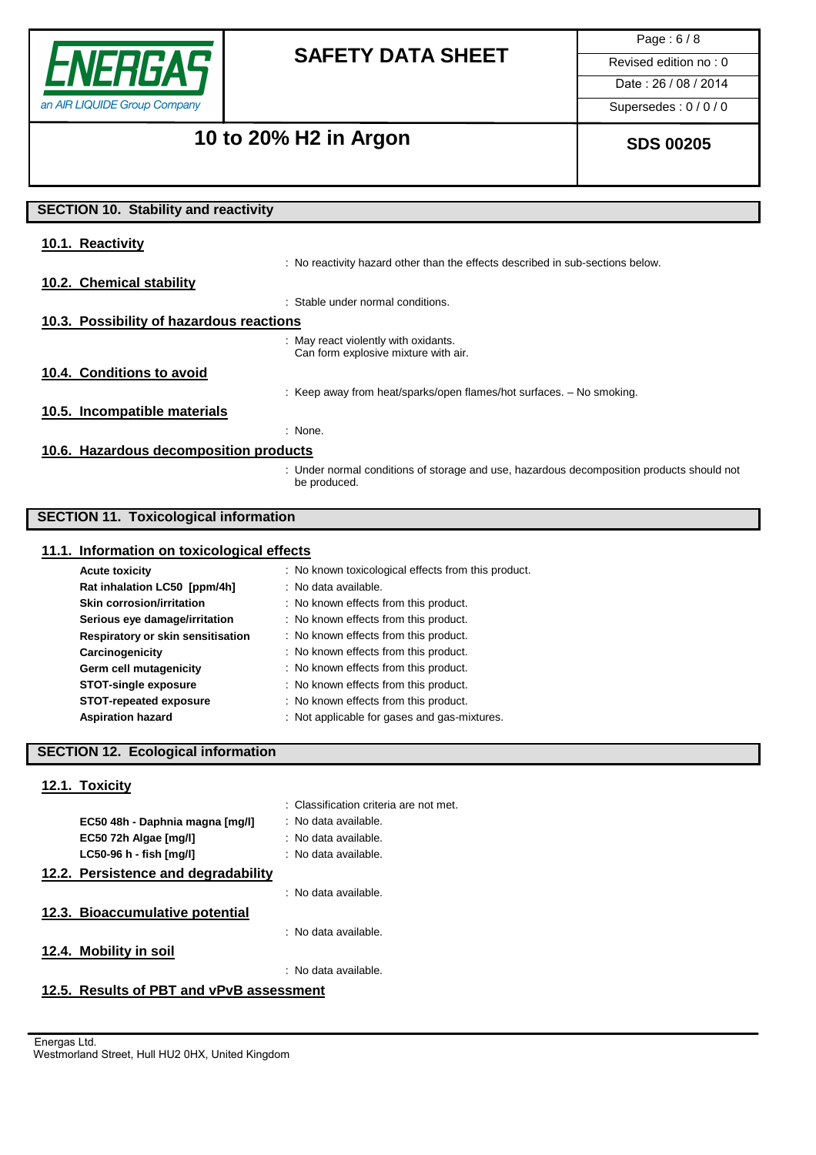

Page : 6 / 8

Date : 26 / 08 / 2014

Supersedes : 0 / 0 / 0

# 10 to 20% H2 in Argon **SDS 00205**

# **SECTION 10. Stability and reactivity 10.1. Reactivity** : No reactivity hazard other than the effects described in sub-sections below. **10.2. Chemical stability** : Stable under normal conditions. **10.3. Possibility of hazardous reactions** : May react violently with oxidants. Can form explosive mixture with air. **10.4. Conditions to avoid** : Keep away from heat/sparks/open flames/hot surfaces. – No smoking. **10.5. Incompatible materials** : None. **10.6. Hazardous decomposition products** : Under normal conditions of storage and use, hazardous decomposition products should not be produced. **SECTION 11. Toxicological information**

### **11.1. Information on toxicological effects**

| <b>Acute toxicity</b>             | : No known toxicological effects from this product. |
|-----------------------------------|-----------------------------------------------------|
| Rat inhalation LC50 [ppm/4h]      | : No data available.                                |
| <b>Skin corrosion/irritation</b>  | : No known effects from this product.               |
| Serious eye damage/irritation     | : No known effects from this product.               |
| Respiratory or skin sensitisation | : No known effects from this product.               |
| Carcinogenicity                   | : No known effects from this product.               |
| Germ cell mutagenicity            | : No known effects from this product.               |
| <b>STOT-single exposure</b>       | : No known effects from this product.               |
| <b>STOT-repeated exposure</b>     | : No known effects from this product.               |
| <b>Aspiration hazard</b>          | : Not applicable for gases and gas-mixtures.        |

## **SECTION 12. Ecological information**

## **12.1. Toxicity**

|                                          | : Classification criteria are not met. |
|------------------------------------------|----------------------------------------|
| EC50 48h - Daphnia magna [mg/l]          | : No data available.                   |
| EC50 72h Algae [mg/l]                    | : No data available.                   |
| LC50-96 h - fish [mq/l]                  | : No data available.                   |
| 12.2. Persistence and degradability      |                                        |
|                                          | : No data available.                   |
| 12.3. Bioaccumulative potential          |                                        |
|                                          | : No data available.                   |
| 12.4. Mobility in soil                   |                                        |
|                                          | : No data available.                   |
| 12.5. Results of PBT and vPvB assessment |                                        |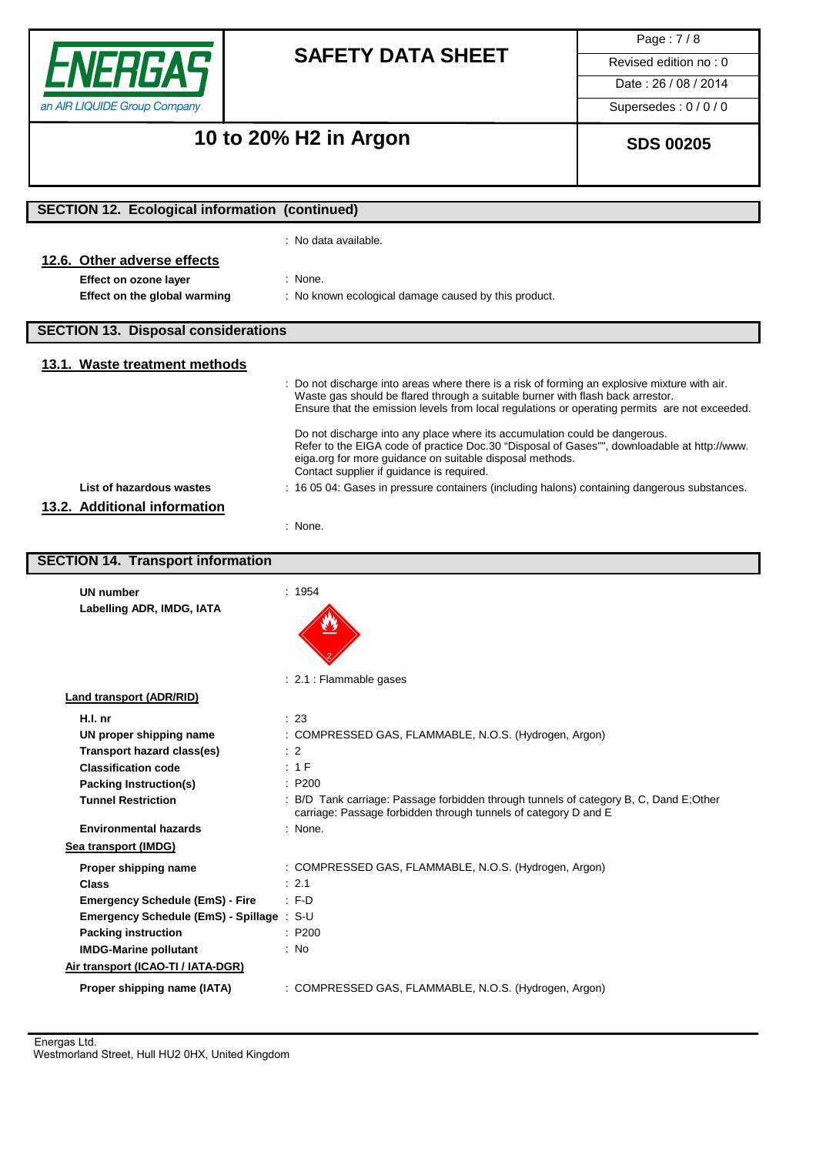

Page : 7 / 8

Date : 26 / 08 / 2014

Supersedes : 0 / 0 / 0

# 10 to 20% H2 in Argon **SDS 00205**

# **SECTION 12. Ecological information (continued)** : No data available. **12.6. Other adverse effects Effect on ozone layer** : None. **Effect on the global warming : No known ecological damage caused by this product. SECTION 13. Disposal considerations 13.1. Waste treatment methods** : Do not discharge into areas where there is a risk of forming an explosive mixture with air. Waste gas should be flared through a suitable burner with flash back arrestor. Ensure that the emission levels from local regulations or operating permits are not exceeded. Do not discharge into any place where its accumulation could be dangerous. Refer to the EIGA code of practice Doc.30 "Disposal of Gases"", downloadable at http://www. eiga.org for more guidance on suitable disposal methods. Contact supplier if guidance is required. **List of hazardous wastes** : 16 05 04: Gases in pressure containers (including halons) containing dangerous substances. **13.2. Additional information** : None. **SECTION 14. Transport information UN number** : 1954 **Labelling ADR, IMDG, IATA** : 2.1 : Flammable gases óm**Land transport (ADR/RID)**

| Land transport (ADR/RID)                  |                                                                                                                                                          |
|-------------------------------------------|----------------------------------------------------------------------------------------------------------------------------------------------------------|
| H.I. nr                                   | : 23                                                                                                                                                     |
| UN proper shipping name                   | : COMPRESSED GAS, FLAMMABLE, N.O.S. (Hydrogen, Argon)                                                                                                    |
| Transport hazard class(es)                | $\therefore$ 2                                                                                                                                           |
| <b>Classification code</b>                | : 1F                                                                                                                                                     |
| Packing Instruction(s)                    | : P200                                                                                                                                                   |
| <b>Tunnel Restriction</b>                 | : B/D Tank carriage: Passage forbidden through tunnels of category B, C, Dand E;Other<br>carriage: Passage forbidden through tunnels of category D and E |
| <b>Environmental hazards</b>              | : None.                                                                                                                                                  |
| Sea transport (IMDG)                      |                                                                                                                                                          |
| Proper shipping name                      | : COMPRESSED GAS, FLAMMABLE, N.O.S. (Hydrogen, Argon)                                                                                                    |
| <b>Class</b>                              | $\therefore$ 2.1                                                                                                                                         |
| <b>Emergency Schedule (EmS) - Fire</b>    | F.D                                                                                                                                                      |
| Emergency Schedule (EmS) - Spillage : S-U |                                                                                                                                                          |
| <b>Packing instruction</b>                | : P200                                                                                                                                                   |
| <b>IMDG-Marine pollutant</b>              | : No                                                                                                                                                     |
| Air transport (ICAO-TI / IATA-DGR)        |                                                                                                                                                          |
| Proper shipping name (IATA)               | : COMPRESSED GAS, FLAMMABLE, N.O.S. (Hydrogen, Argon)                                                                                                    |
|                                           |                                                                                                                                                          |